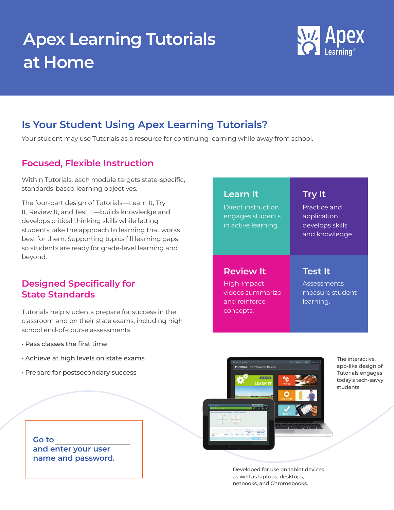# **Apex Learning Tutorials at Home**



# **Is Your Student Using Apex Learning Tutorials?**

Your student may use Tutorials as a resource for continuing learning while away from school.

### **Focused, Flexible Instruction**

Within Tutorials, each module targets state-specific, standards-based learning objectives.

The four-part design of Tutorials—Learn It, Try It, Review It, and Test It—builds knowledge and develops critical thinking skills while letting students take the approach to learning that works best for them. Supporting topics fill learning gaps so students are ready for grade-level learning and beyond.

### **Designed Specifically for State Standards**

Tutorials help students prepare for success in the classroom and on their state exams, including high school end-of-course assessments.

- Pass classes the first time
- Achieve at high levels on state exams
- Prepare for postsecondary success

**Go to and enter your user name and password.**

## **Learn It Try It**

Direct instruction engages students in active learning.

### **Review It Test It**

High-impact videos summarize and reinforce concepts.

Practice and application develops skills and knowledge

**Assessments** measure student learning.



The interactive, app-like design of Tutorials engages today's tech-savvy students.

Developed for use on tablet devices as well as laptops, desktops, netbooks, and Chromebooks.